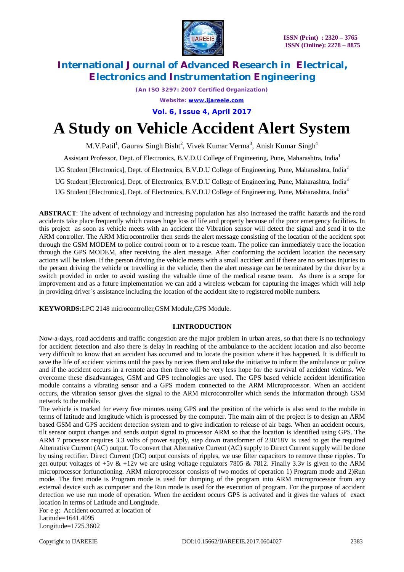

*(An ISO 3297: 2007 Certified Organization)*

*Website: [www.ijareeie.com](http://www.ijareeie.com)*

**Vol. 6, Issue 4, April 2017**

# **A Study on Vehicle Accident Alert System**

M.V.Patil<sup>1</sup>, Gaurav Singh Bisht<sup>2</sup>, Vivek Kumar Verma<sup>3</sup>, Anish Kumar Singh<sup>4</sup>

Assistant Professor, Dept. of Electronics, B.V.D.U College of Engineering, Pune, Maharashtra, India<sup>1</sup>

UG Student [Electronics], Dept. of Electronics, B.V.D.U College of Engineering, Pune, Maharashtra, India<sup>2</sup>

UG Student [Electronics], Dept. of Electronics, B.V.D.U College of Engineering, Pune, Maharashtra, India<sup>3</sup>

UG Student [Electronics], Dept. of Electronics, B.V.D.U College of Engineering, Pune, Maharashtra, India<sup>4</sup>

**ABSTRACT**: The advent of technology and increasing population has also increased the traffic hazards and the road accidents take place frequently which causes huge loss of life and property because of the poor emergency facilities. In this project as soon as vehicle meets with an accident the Vibration sensor will detect the signal and send it to the ARM controller. The ARM Microcontroller then sends the alert message consisting of the location of the accident spot through the GSM MODEM to police control room or to a rescue team. The police can immediately trace the location through the GPS MODEM, after receiving the alert message. After conforming the accident location the necessary actions will be taken. If the person driving the vehicle meets with a small accident and if there are no serious injuries to the person driving the vehicle or travelling in the vehicle, then the alert message can be terminated by the driver by a switch provided in order to avoid wasting the valuable time of the medical rescue team. As there is a scope for improvement and as a future implementation we can add a wireless webcam for capturing the images which will help in providing driver`s assistance including the location of the accident site to registered mobile numbers.

**KEYWORDS:**LPC 2148 microcontroller,GSM Module,GPS Module.

### **I.INTRODUCTION**

Now-a-days, road accidents and traffic congestion are the major problem in urban areas, so that there is no technology for accident detection and also there is delay in reaching of the ambulance to the accident location and also become very difficult to know that an accident has occurred and to locate the position where it has happened. It is difficult to save the life of accident victims until the pass by notices them and take the initiative to inform the ambulance or police and if the accident occurs in a remote area then there will be very less hope for the survival of accident victims. We overcome these disadvantages, GSM and GPS technologies are used. The GPS based vehicle accident identification module contains a vibrating sensor and a GPS modem connected to the ARM Microprocessor. When an accident occurs, the vibration sensor gives the signal to the ARM microcontroller which sends the information through GSM network to the mobile.

The vehicle is tracked for every five minutes using GPS and the position of the vehicle is also send to the mobile in terms of latitude and longitude which is processed by the computer. The main aim of the project is to design an ARM based GSM and GPS accident detection system and to give indication to release of air bags. When an accident occurs, tilt sensor output changes and sends output signal to processor ARM so that the location is identified using GPS. The ARM 7 processor requires 3.3 volts of power supply, step down transformer of 230/18V is used to get the required Alternative Current (AC) output. To convert that Alternative Current (AC) supply to Direct Current supply will be done by using rectifier. Direct Current (DC) output consists of ripples, we use filter capacitors to remove those ripples. To get output voltages of  $+5v \& +12v$  we are using voltage regulators 7805 & 7812. Finally 3.3v is given to the ARM microprocessor forfunctioning. ARM microprocessor consists of two modes of operation 1) Program mode and 2)Run mode. The first mode is Program mode is used for dumping of the program into ARM microprocessor from any external device such as computer and the Run mode is used for the execution of program. For the purpose of accident detection we use run mode of operation. When the accident occurs GPS is activated and it gives the values of exact location in terms of Latitude and Longitude.

For e g: Accident occurred at location of Latitude=1641.4095

Longitude=1725.3602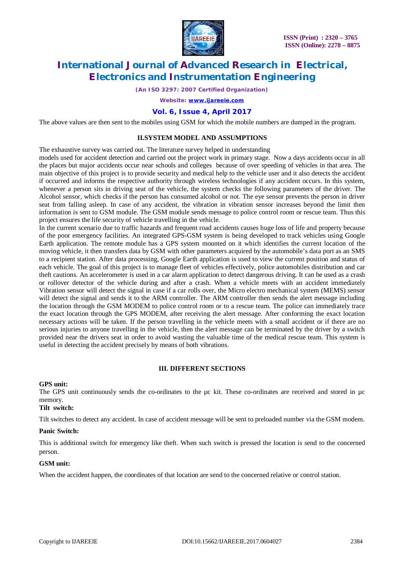

*(An ISO 3297: 2007 Certified Organization)*

*Website: [www.ijareeie.com](http://www.ijareeie.com)*

#### **Vol. 6, Issue 4, April 2017**

The above values are then sent to the mobiles using GSM for which the mobile numbers are dumped in the program.

#### **II.SYSTEM MODEL AND ASSUMPTIONS**

The exhaustive survey was carried out. The literature survey helped in understanding

models used for accident detection and carried out the project work in primary stage. Now a days accidents occur in all the places but major accidents occur near schools and colleges because of over speeding of vehicles in that area. The main objective of this project is to provide security and medical help to the vehicle user and it also detects the accident if occurred and informs the respective authority through wireless technologies if any accident occurs. In this system, whenever a person sits in driving seat of the vehicle, the system checks the following parameters of the driver. The Alcohol sensor, which checks if the person has consumed alcohol or not. The eye sensor prevents the person in driver seat from falling asleep. In case of any accident, the vibration in vibration sensor increases beyond the limit then information is sent to GSM module. The GSM module sends message to police control room or rescue team. Thus this project ensures the life security of vehicle travelling in the vehicle.

In the current scenario due to traffic hazards and frequent road accidents causes huge loss of life and property because of the poor emergency facilities. An integrated GPS-GSM system is being developed to track vehicles using Google Earth application. The remote module has a GPS system mounted on it which identifies the current location of the moving vehicle, it then transfers data by GSM with other parameters acquired by the automobile's data port as an SMS to a recipient station. After data processing, Google Earth application is used to view the current position and status of each vehicle. The goal of this project is to manage fleet of vehicles effectively, police automobiles distribution and car theft cautions. An accelerometer is used in a car alarm application to detect dangerous driving. It can be used as a crash or rollover detector of the vehicle during and after a crash. When a vehicle meets with an accident immediately Vibration sensor will detect the signal in case if a car rolls over, the Micro electro mechanical system (MEMS) sensor will detect the signal and sends it to the ARM controller. The ARM controller then sends the alert message including the location through the GSM MODEM to police control room or to a rescue team. The police can immediately trace the exact location through the GPS MODEM, after receiving the alert message. After conforming the exact location necessary actions will be taken. If the person travelling in the vehicle meets with a small accident or if there are no serious injuries to anyone travelling in the vehicle, then the alert message can be terminated by the driver by a switch provided near the drivers seat in order to avoid wasting the valuable time of the medical rescue team. This system is useful in detecting the accident precisely by means of both vibrations.

### **III. DIFFERENT SECTIONS**

#### **GPS unit:**

The GPS unit continuously sends the co-ordinates to the µc kit. These co-ordinates are received and stored in µc memory.

#### **Tilt switch:**

Tilt switches to detect any accident. In case of accident message will be sent to preloaded number via the GSM modem.

#### **Panic Switch:**

This is additional switch for emergency like theft. When such switch is pressed the location is send to the concerned person.

#### **GSM unit:**

When the accident happen, the coordinates of that location are send to the concerned relative or control station.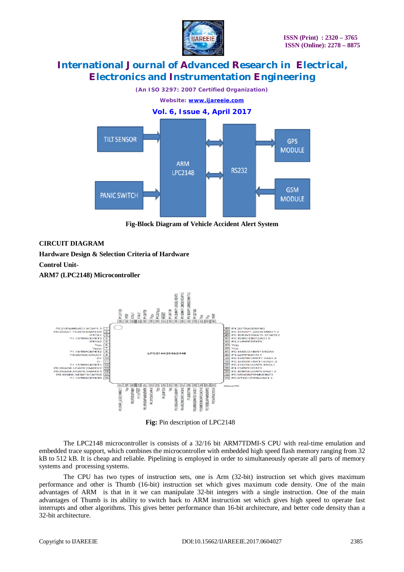



**Fig-Block Diagram of Vehicle Accident Alert System** 

### **CIRCUIT DIAGRAM**

**Hardware Design & Selection Criteria of Hardware Control Unit-**

**ARM7 (LPC2148) Microcontroller**



**Fig:** Pin description of LPC2148

The LPC2148 microcontroller is consists of a 32/16 bit ARM7TDMI-S CPU with real-time emulation and embedded trace support, which combines the microcontroller with embedded high speed flash memory ranging from 32 kB to 512 kB. It is cheap and reliable. Pipelining is employed in order to simultaneously operate all parts of memory systems and processing systems.

The CPU has two types of instruction sets, one is Arm (32-bit) instruction set which gives maximum performance and other is Thumb (16-bit) instruction set which gives maximum code density. One of the main advantages of ARM is that in it we can manipulate 32-bit integers with a single instruction. One of the main advantages of Thumb is its ability to switch back to ARM instruction set which gives high speed to operate fast interrupts and other algorithms. This gives better performance than 16-bit architecture, and better code density than a 32-bit architecture.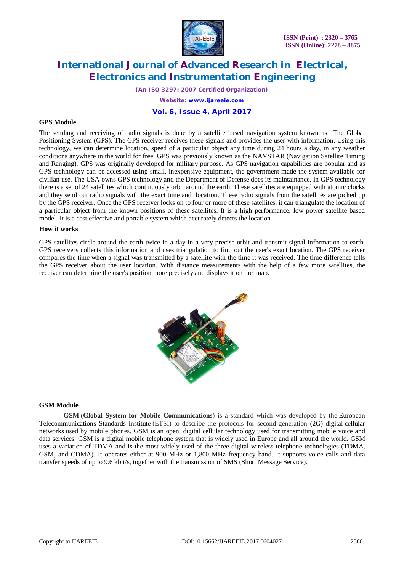

*(An ISO 3297: 2007 Certified Organization)*

*Website: [www.ijareeie.com](http://www.ijareeie.com)*

#### **Vol. 6, Issue 4, April 2017**

#### **GPS Module**

The sending and receiving of radio signals is done by a satellite based navigation system known as The Global Positioning System (GPS). The GPS receiver receives these signals and provides the user with information. Using this technology, we can determine location, speed of a particular object any time during 24 hours a day, in any weather conditions anywhere in the world for free. GPS was previously known as the NAVSTAR (Navigation Satellite Timing and Ranging). GPS was originally developed for military purpose. As GPS navigation capabilities are popular and as GPS technology can be accessed using small, inexpensive equipment, the government made the system available for civilian use. The USA owns GPS technology and the Department of Defense does its maintainance. In GPS technology there is a set of 24 satellites which continuously orbit around the earth. These satellites are equipped with atomic clocks and they send out radio signals with the exact time and location. These radio signals from the satellites are picked up by the GPS receiver. Once the GPS receiver locks on to four or more of these satellites, it can triangulate the location of a particular object from the known positions of these satellites. It is a high performance, low power satellite based model. It is a cost effective and portable system which accurately detects the location.

#### **How it works**

GPS satellites circle around the earth twice in a day in a very precise orbit and transmit signal information to earth. GPS receivers collects this information and uses triangulation to find out the user's exact location. The GPS receiver compares the time when a signal was transmitted by a satellite with the time it was received. The time difference tells the GPS receiver about the user location. With distance measurements with the help of a few more satellites, the receiver can determine the user's position more precisely and displays it on the map.



#### **GSM Module**

**GSM** (**Global System for Mobile Communications**) is a standard which was developed by the European Telecommunications Standards Institute (ETSI) to describe the protocols for second-generation (2G) digital cellular networks used by mobile phones. GSM is an open, digital cellular technology used for transmitting mobile voice and data services. GSM is a digital mobile telephone system that is widely used in Europe and all around the world. GSM uses a variation of TDMA and is the most widely used of the three digital wireless telephone technologies (TDMA, GSM, and CDMA). It operates either at 900 MHz or 1,800 MHz frequency band. It supports voice calls and data transfer speeds of up to 9.6 kbit/s, together with the transmission of SMS (Short Message Service).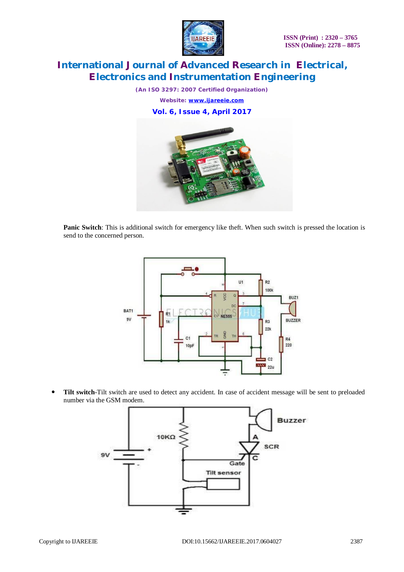

*(An ISO 3297: 2007 Certified Organization) Website: [www.ijareeie.com](http://www.ijareeie.com)* **Vol. 6, Issue 4, April 2017**



**Panic Switch**: This is additional switch for emergency like theft. When such switch is pressed the location is send to the concerned person.



 **Tilt switch**-Tilt switch are used to detect any accident. In case of accident message will be sent to preloaded number via the GSM modem.

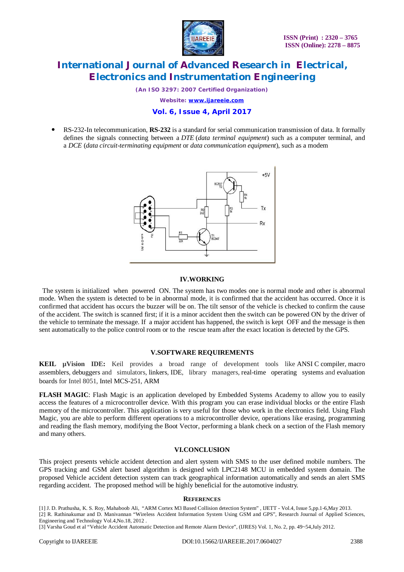

*(An ISO 3297: 2007 Certified Organization)*

*Website: [www.ijareeie.com](http://www.ijareeie.com)*

#### **Vol. 6, Issue 4, April 2017**

 RS-232-In telecommunication, **RS-232** is a standard for serial communication transmission of data. It formally defines the signals connecting between a *DTE* (*data terminal equipment*) such as a computer terminal, and a *DCE* (*data circuit-terminating equipment* or *data communication equipment*), such as a modem



#### **IV.WORKING**

 The system is initialized when powered ON. The system has two modes one is normal mode and other is abnormal mode. When the system is detected to be in abnormal mode, it is confirmed that the accident has occurred. Once it is confirmed that accident has occurs the buzzer will be on. The tilt sensor of the vehicle is checked to confirm the cause of the accident. The switch is scanned first; if it is a minor accident then the switch can be powered ON by the driver of the vehicle to terminate the message. If a major accident has happened, the switch is kept OFF and the message is then sent automatically to the police control room or to the rescue team after the exact location is detected by the GPS.

#### **V.SOFTWARE REQUIREMENTS**

**KEIL µVision IDE:** Keil provides a broad range of development tools like ANSI C compiler, macro assemblers, debuggers and simulators, linkers, IDE, library managers, real-time operating systems and evaluation boards for Intel 8051, Intel MCS-251, ARM

**FLASH MAGIC**: Flash Magic is an application developed by Embedded Systems Academy to allow you to easily access the features of a microcontroller device. With this program you can erase individual blocks or the entire Flash memory of the microcontroller. This application is very useful for those who work in the electronics field. Using Flash Magic, you are able to perform different operations to a microcontroller device, operations like erasing, programming and reading the flash memory, modifying the Boot Vector, performing a blank check on a section of the Flash memory and many others.

#### **VI.CONCLUSION**

This project presents vehicle accident detection and alert system with SMS to the user defined mobile numbers. The GPS tracking and GSM alert based algorithm is designed with LPC2148 MCU in embedded system domain. The proposed Vehicle accident detection system can track geographical information automatically and sends an alert SMS regarding accident. The proposed method will be highly beneficial for the automotive industry.

#### **REFERENCES**

[1] J. D. Prathusha, K. S. Roy, Mahaboob Ali, "ARM Cortex M3 Based Collision detection System" , IJETT - Vol.4, Issue 5,pp.1-6,May 2013. [2] R. Rathinakumar and D. Manivannan "Wireless Accident Information System Using GSM and GPS", Research Journal of Applied Sciences, Engineering and Technology Vol.4,No.18, 2012 .

[3] Varsha Goud et al "Vehicle Accident Automatic Detection and Remote Alarm Device", (IJRES) Vol. 1, No. 2, pp. 49~54,July 2012.